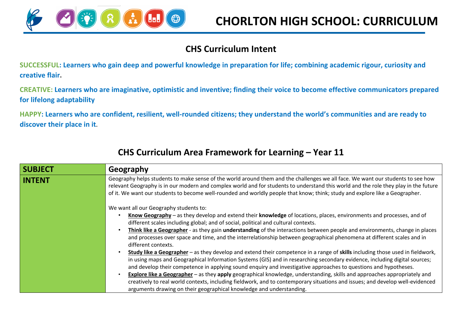

## **CHS Curriculum Intent**

**SUCCESSFUL: Learners who gain deep and powerful knowledge in preparation for life; combining academic rigour, curiosity and creative flair.**

**CREATIVE: Learners who are imaginative, optimistic and inventive; finding their voice to become effective communicators prepared for lifelong adaptability**

**HAPPY: Learners who are confident, resilient, well-rounded citizens; they understand the world's communities and are ready to discover their place in it.**

| <b>SUBJECT</b> | Geography                                                                                                                                                                                                                                                                                                                                                                                               |
|----------------|---------------------------------------------------------------------------------------------------------------------------------------------------------------------------------------------------------------------------------------------------------------------------------------------------------------------------------------------------------------------------------------------------------|
| <b>INTENT</b>  | Geography helps students to make sense of the world around them and the challenges we all face. We want our students to see how<br>relevant Geography is in our modern and complex world and for students to understand this world and the role they play in the future<br>of it. We want our students to become well-rounded and worldly people that know; think; study and explore like a Geographer. |
|                | We want all our Geography students to:                                                                                                                                                                                                                                                                                                                                                                  |
|                | Know Geography – as they develop and extend their knowledge of locations, places, environments and processes, and of<br>different scales including global; and of social, political and cultural contexts.                                                                                                                                                                                              |
|                | Think like a Geographer - as they gain understanding of the interactions between people and environments, change in places<br>and processes over space and time, and the interrelationship between geographical phenomena at different scales and in<br>different contexts.                                                                                                                             |
|                | Study like a Geographer – as they develop and extend their competence in a range of skills including those used in fieldwork,<br>in using maps and Geographical Information Systems (GIS) and in researching secondary evidence, including digital sources;<br>and develop their competence in applying sound enquiry and investigative approaches to questions and hypotheses.                         |
|                | <b>Explore like a Geographer</b> – as they apply geographical knowledge, understanding, skills and approaches appropriately and<br>creatively to real world contexts, including fieldwork, and to contemporary situations and issues; and develop well-evidenced<br>arguments drawing on their geographical knowledge and understanding.                                                                |

## **CHS Curriculum Area Framework for Learning – Year 11**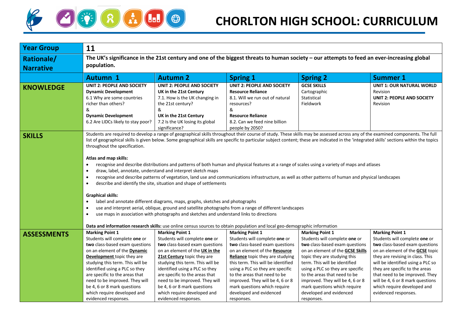

| <b>Year Group</b>                     | 11                                                                                                                                                                                                                                                                                                                                                                                                                                                                                                                                                                                                                                                                                                                                                                                                                                                                                                                                                                                                                                                                                                                                                                                                                                                                                                     |                                                                                                                                                                                                                                                                                                                                                                                            |                                                                                                                                                                                                                                                                                                                                                                                                                                                                                                                     |                                                                                                                                                                                                                                                                                                                                                                                 |                                                                                                                                                                                                                                                                                                                                                                             |  |  |  |
|---------------------------------------|--------------------------------------------------------------------------------------------------------------------------------------------------------------------------------------------------------------------------------------------------------------------------------------------------------------------------------------------------------------------------------------------------------------------------------------------------------------------------------------------------------------------------------------------------------------------------------------------------------------------------------------------------------------------------------------------------------------------------------------------------------------------------------------------------------------------------------------------------------------------------------------------------------------------------------------------------------------------------------------------------------------------------------------------------------------------------------------------------------------------------------------------------------------------------------------------------------------------------------------------------------------------------------------------------------|--------------------------------------------------------------------------------------------------------------------------------------------------------------------------------------------------------------------------------------------------------------------------------------------------------------------------------------------------------------------------------------------|---------------------------------------------------------------------------------------------------------------------------------------------------------------------------------------------------------------------------------------------------------------------------------------------------------------------------------------------------------------------------------------------------------------------------------------------------------------------------------------------------------------------|---------------------------------------------------------------------------------------------------------------------------------------------------------------------------------------------------------------------------------------------------------------------------------------------------------------------------------------------------------------------------------|-----------------------------------------------------------------------------------------------------------------------------------------------------------------------------------------------------------------------------------------------------------------------------------------------------------------------------------------------------------------------------|--|--|--|
| <b>Rationale/</b><br><b>Narrative</b> | The UK's significance in the 21st century and one of the biggest threats to human society - our attempts to feed an ever-increasing global<br>population.                                                                                                                                                                                                                                                                                                                                                                                                                                                                                                                                                                                                                                                                                                                                                                                                                                                                                                                                                                                                                                                                                                                                              |                                                                                                                                                                                                                                                                                                                                                                                            |                                                                                                                                                                                                                                                                                                                                                                                                                                                                                                                     |                                                                                                                                                                                                                                                                                                                                                                                 |                                                                                                                                                                                                                                                                                                                                                                             |  |  |  |
|                                       | <b>Autumn 1</b>                                                                                                                                                                                                                                                                                                                                                                                                                                                                                                                                                                                                                                                                                                                                                                                                                                                                                                                                                                                                                                                                                                                                                                                                                                                                                        | <b>Autumn 2</b>                                                                                                                                                                                                                                                                                                                                                                            | <b>Spring 1</b>                                                                                                                                                                                                                                                                                                                                                                                                                                                                                                     | <b>Spring 2</b>                                                                                                                                                                                                                                                                                                                                                                 | <b>Summer 1</b>                                                                                                                                                                                                                                                                                                                                                             |  |  |  |
| <b>KNOWLEDGE</b>                      | <b>UNIT 2: PEOPLE AND SOCIETY</b><br><b>Dynamic Development</b><br>6.1 Why are some countries<br>richer than others?<br>&<br><b>Dynamic Development</b><br>6.2 Are LIDCs likely to stay poor?                                                                                                                                                                                                                                                                                                                                                                                                                                                                                                                                                                                                                                                                                                                                                                                                                                                                                                                                                                                                                                                                                                          | <b>UNIT 2: PEOPLE AND SOCIETY</b><br>UK in the 21st Century<br>7.1. How is the UK changing in<br>the 21st century?<br>&<br>UK in the 21st Century<br>7.2 Is the UK losing its global<br>significance?                                                                                                                                                                                      | <b>UNIT 2: PEOPLE AND SOCIETY</b><br><b>Resource Reliance</b><br>8.1. Will we run out of natural<br>resources?<br>&<br><b>Resource Reliance</b><br>8.2. Can we feed nine billion<br>people by 2050?                                                                                                                                                                                                                                                                                                                 | <b>GCSE SKILLS</b><br>Cartographic<br>Statistical<br>Fieldwork                                                                                                                                                                                                                                                                                                                  | <b>UNIT 1: OUR NATURAL WORLD</b><br>Revision<br><b>UNIT 2: PEOPLE AND SOCIETY</b><br>Revision                                                                                                                                                                                                                                                                               |  |  |  |
| <b>SKILLS</b>                         | Students are required to develop a range of geographical skills throughout their course of study. These skills may be assessed across any of the examined components. The full<br>list of geographical skills is given below. Some geographical skills are specific to particular subject content; these are indicated in the 'integrated skills' sections within the topics<br>throughout the specification.<br>Atlas and map skills:<br>recognise and describe distributions and patterns of both human and physical features at a range of scales using a variety of maps and atlases<br>$\bullet$<br>draw, label, annotate, understand and interpret sketch maps<br>$\bullet$<br>recognise and describe patterns of vegetation, land use and communications infrastructure, as well as other patterns of human and physical landscapes<br>$\bullet$<br>describe and identify the site, situation and shape of settlements<br>$\bullet$<br><b>Graphical skills:</b><br>label and annotate different diagrams, maps, graphs, sketches and photographs<br>$\bullet$<br>use and interpret aerial, oblique, ground and satellite photographs from a range of different landscapes<br>$\bullet$<br>use maps in association with photographs and sketches and understand links to directions<br>$\bullet$ |                                                                                                                                                                                                                                                                                                                                                                                            |                                                                                                                                                                                                                                                                                                                                                                                                                                                                                                                     |                                                                                                                                                                                                                                                                                                                                                                                 |                                                                                                                                                                                                                                                                                                                                                                             |  |  |  |
| <b>ASSESSMENTS</b>                    | <b>Marking Point 1</b><br>Students will complete one or<br>two class-based exam questions<br>on an element of the <b>Dynamic</b><br>Development topic they are<br>studying this term. This will be<br>identified using a PLC so they<br>are specific to the areas that<br>need to be improved. They will<br>be 4, 6 or 8 mark questions<br>which require developed and<br>evidenced responses.                                                                                                                                                                                                                                                                                                                                                                                                                                                                                                                                                                                                                                                                                                                                                                                                                                                                                                         | <b>Marking Point 1</b><br>Students will complete one or<br>two class-based exam questions<br>on an element of the UK in the<br>21st Century topic they are<br>studying this term. This will be<br>identified using a PLC so they<br>are specific to the areas that<br>need to be improved. They will<br>be 4, 6 or 8 mark questions<br>which require developed and<br>evidenced responses. | Data and information research skills: use online census sources to obtain population and local geo-demographic information<br><b>Marking Point 1</b><br>Students will complete one or<br>two class-based exam questions<br>on an element of the Resource<br>Reliance topic they are studying<br>this term. This will be identified<br>using a PLC so they are specific<br>to the areas that need to be<br>improved. They will be 4, 6 or 8<br>mark questions which require<br>developed and evidenced<br>responses. | <b>Marking Point 1</b><br>Students will complete one or<br>two class-based exam questions<br>on an element of the GCSE Skills<br>topic they are studying this<br>term. This will be identified<br>using a PLC so they are specific<br>to the areas that need to be<br>improved. They will be 4, 6 or 8<br>mark questions which require<br>developed and evidenced<br>responses. | <b>Marking Point 1</b><br>Students will complete one or<br>two class-based exam questions<br>on an element of the <b>GCSE</b> topic<br>they are revising in class. This<br>will be identified using a PLC so<br>they are specific to the areas<br>that need to be improved. They<br>will be 4, 6 or 8 mark questions<br>which require developed and<br>evidenced responses. |  |  |  |